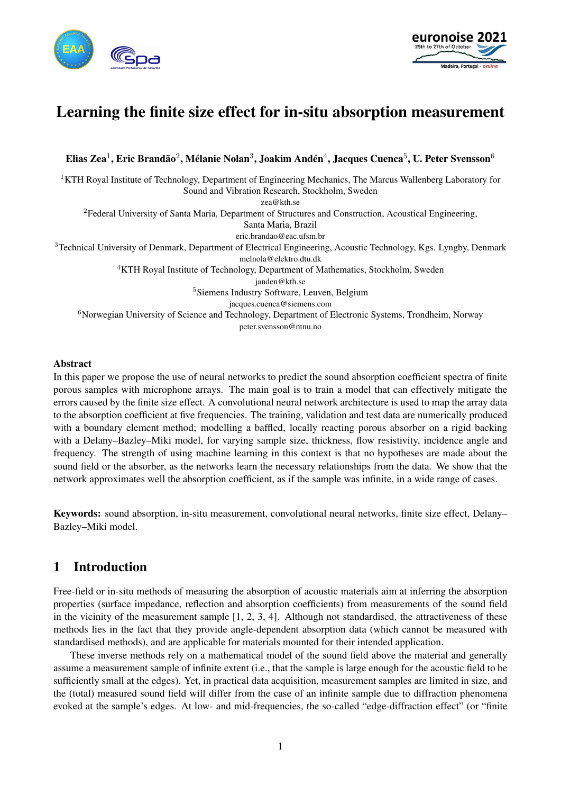



# Learning the finite size effect for in-situ absorption measurement

Elias Zea $^1$ , Eric Brandão $^2$ , Mélanie Nolan $^3$ , Joakim Andén $^4$ , Jacques Cuenca $^5$ , U. Peter Svensson $^6$ 

<sup>1</sup>KTH Royal Institute of Technology, Department of Engineering Mechanics, The Marcus Wallenberg Laboratory for Sound and Vibration Research, Stockholm, Sweden zea@kth.se <sup>2</sup>Federal University of Santa Maria, Department of Structures and Construction, Acoustical Engineering, Santa Maria, Brazil eric.brandao@eac.ufsm.br <sup>3</sup>Technical University of Denmark, Department of Electrical Engineering, Acoustic Technology, Kgs. Lyngby, Denmark melnola@elektro.dtu.dk <sup>4</sup>KTH Royal Institute of Technology, Department of Mathematics, Stockholm, Sweden janden@kth.se <sup>5</sup>Siemens Industry Software, Leuven, Belgium jacques.cuenca@siemens.com <sup>6</sup>Norwegian University of Science and Technology, Department of Electronic Systems, Trondheim, Norway peter.svensson@ntnu.no

### Abstract

In this paper we propose the use of neural networks to predict the sound absorption coefficient spectra of finite porous samples with microphone arrays. The main goal is to train a model that can effectively mitigate the errors caused by the finite size effect. A convolutional neural network architecture is used to map the array data to the absorption coefficient at five frequencies. The training, validation and test data are numerically produced with a boundary element method; modelling a baffled, locally reacting porous absorber on a rigid backing with a Delany–Bazley–Miki model, for varying sample size, thickness, flow resistivity, incidence angle and frequency. The strength of using machine learning in this context is that no hypotheses are made about the sound field or the absorber, as the networks learn the necessary relationships from the data. We show that the network approximates well the absorption coefficient, as if the sample was infinite, in a wide range of cases.

Keywords: sound absorption, in-situ measurement, convolutional neural networks, finite size effect, Delany– Bazley–Miki model.

# 1 Introduction

Free-field or in-situ methods of measuring the absorption of acoustic materials aim at inferring the absorption properties (surface impedance, reflection and absorption coefficients) from measurements of the sound field in the vicinity of the measurement sample  $[1, 2, 3, 4]$ . Although not standardised, the attractiveness of these methods lies in the fact that they provide angle-dependent absorption data (which cannot be measured with standardised methods), and are applicable for materials mounted for their intended application.

These inverse methods rely on a mathematical model of the sound field above the material and generally assume a measurement sample of infinite extent (i.e., that the sample is large enough for the acoustic field to be sufficiently small at the edges). Yet, in practical data acquisition, measurement samples are limited in size, and the (total) measured sound field will differ from the case of an infinite sample due to diffraction phenomena evoked at the sample's edges. At low- and mid-frequencies, the so-called "edge-diffraction effect" (or "finite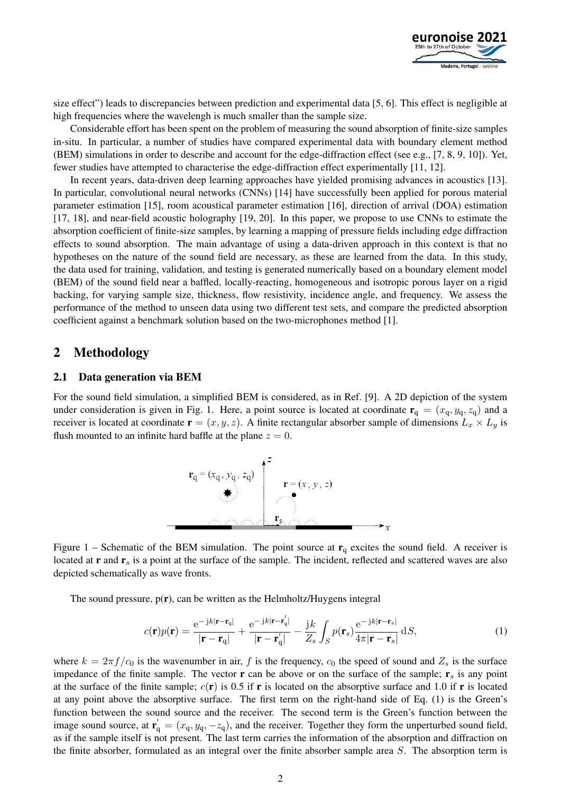

size effect") leads to discrepancies between prediction and experimental data [5, 6]. This effect is negligible at high frequencies where the wavelengh is much smaller than the sample size.

Considerable effort has been spent on the problem of measuring the sound absorption of finite-size samples in-situ. In particular, a number of studies have compared experimental data with boundary element method (BEM) simulations in order to describe and account for the edge-diffraction effect (see e.g., [7, 8, 9, 10]). Yet, fewer studies have attempted to characterise the edge-diffraction effect experimentally [11, 12].

In recent years, data-driven deep learning approaches have yielded promising advances in acoustics [13]. In particular, convolutional neural networks (CNNs) [14] have successfully been applied for porous material parameter estimation [15], room acoustical parameter estimation [16], direction of arrival (DOA) estimation [17, 18], and near-field acoustic holography [19, 20]. In this paper, we propose to use CNNs to estimate the absorption coefficient of finite-size samples, by learning a mapping of pressure fields including edge diffraction effects to sound absorption. The main advantage of using a data-driven approach in this context is that no hypotheses on the nature of the sound field are necessary, as these are learned from the data. In this study, the data used for training, validation, and testing is generated numerically based on a boundary element model (BEM) of the sound field near a baffled, locally-reacting, homogeneous and isotropic porous layer on a rigid backing, for varying sample size, thickness, flow resistivity, incidence angle, and frequency. We assess the performance of the method to unseen data using two different test sets, and compare the predicted absorption coefficient against a benchmark solution based on the two-microphones method [1].

# 2 Methodology

#### 2.1 Data generation via BEM

For the sound field simulation, a simplified BEM is considered, as in Ref. [9]. A 2D depiction of the system under consideration is given in Fig. 1. Here, a point source is located at coordinate  $\mathbf{r}_q = (x_q, y_q, z_q)$  and a receiver is located at coordinate  $\mathbf{r} = (x, y, z)$ . A finite rectangular absorber sample of dimensions  $L_x \times L_y$  is flush mounted to an infinite hard baffle at the plane  $z = 0$ .



Figure 1 – Schematic of the BEM simulation. The point source at  $r_q$  excites the sound field. A receiver is located at  $\mathbf{r}$  and  $\mathbf{r}_s$  is a point at the surface of the sample. The incident, reflected and scattered waves are also depicted schematically as wave fronts.

The sound pressure,  $p(r)$ , can be written as the Helmholtz/Huygens integral

$$
c(\mathbf{r})p(\mathbf{r}) = \frac{e^{-jk|\mathbf{r} - \mathbf{r}_{q}|}}{|\mathbf{r} - \mathbf{r}_{q}|} + \frac{e^{-jk|\mathbf{r} - \mathbf{r}'_{q}|}}{|\mathbf{r} - \mathbf{r}'_{q}|} - \frac{jk}{Z_{s}} \int_{S} p(\mathbf{r}_{s}) \frac{e^{-jk|\mathbf{r} - \mathbf{r}_{s}|}}{4\pi |\mathbf{r} - \mathbf{r}_{s}|} dS,
$$
(1)

where  $k = 2\pi f/c_0$  is the wavenumber in air, f is the frequency,  $c_0$  the speed of sound and  $Z_s$  is the surface impedance of the finite sample. The vector  $\bf{r}$  can be above or on the surface of the sample;  $\bf{r}_s$  is any point at the surface of the finite sample;  $c(\bf{r})$  is 0.5 if  $\bf{r}$  is located on the absorptive surface and 1.0 if  $\bf{r}$  is located at any point above the absorptive surface. The first term on the right-hand side of Eq. (1) is the Green's function between the sound source and the receiver. The second term is the Green's function between the image sound source, at  $\mathbf{r}'_q = (x_q, y_q, -z_q)$ , and the receiver. Together they form the unperturbed sound field, as if the sample itself is not present. The last term carries the information of the absorption and diffraction on the finite absorber, formulated as an integral over the finite absorber sample area S. The absorption term is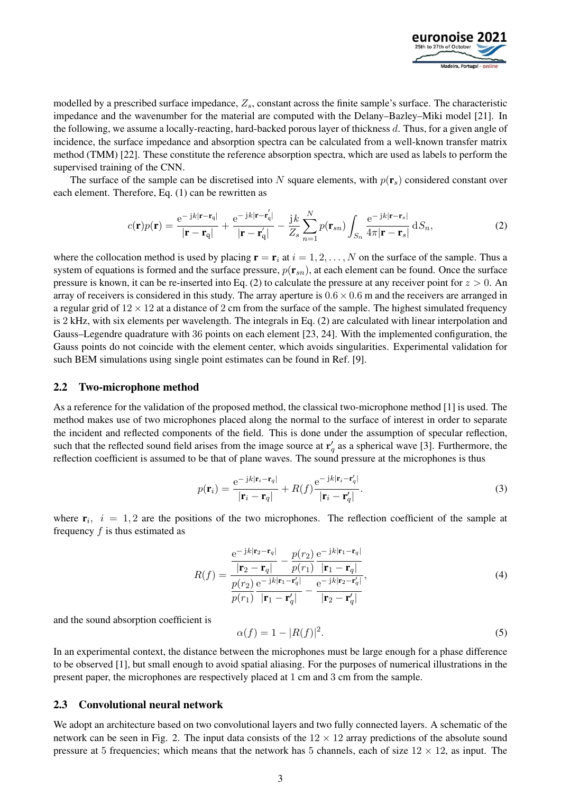

modelled by a prescribed surface impedance,  $Z_s$ , constant across the finite sample's surface. The characteristic impedance and the wavenumber for the material are computed with the Delany–Bazley–Miki model [21]. In the following, we assume a locally-reacting, hard-backed porous layer of thickness d. Thus, for a given angle of incidence, the surface impedance and absorption spectra can be calculated from a well-known transfer matrix method (TMM) [22]. These constitute the reference absorption spectra, which are used as labels to perform the supervised training of the CNN.

The surface of the sample can be discretised into N square elements, with  $p(\mathbf{r}_s)$  considered constant over each element. Therefore, Eq. (1) can be rewritten as

$$
c(\mathbf{r})p(\mathbf{r}) = \frac{\mathrm{e}^{-\mathbf{j}k|\mathbf{r}-\mathbf{r}_{\mathbf{q}}|}}{|\mathbf{r}-\mathbf{r}_{\mathbf{q}}|} + \frac{\mathrm{e}^{-\mathbf{j}k|\mathbf{r}-\mathbf{r}'_{\mathbf{q}}|}}{|\mathbf{r}-\mathbf{r}'_{\mathbf{q}}|} - \frac{\mathbf{j}k}{Z_s} \sum_{n=1}^{N} p(\mathbf{r}_{sn}) \int_{S_n} \frac{\mathrm{e}^{-\mathbf{j}k|\mathbf{r}-\mathbf{r}_s|}}{4\pi |\mathbf{r}-\mathbf{r}_s|} \,\mathrm{d}S_n,\tag{2}
$$

where the collocation method is used by placing  $\mathbf{r} = \mathbf{r}_i$  at  $i = 1, 2, ..., N$  on the surface of the sample. Thus a system of equations is formed and the surface pressure,  $p(\mathbf{r}_{sn})$ , at each element can be found. Once the surface pressure is known, it can be re-inserted into Eq. (2) to calculate the pressure at any receiver point for  $z > 0$ . An array of receivers is considered in this study. The array aperture is  $0.6 \times 0.6$  m and the receivers are arranged in a regular grid of  $12 \times 12$  at a distance of 2 cm from the surface of the sample. The highest simulated frequency is 2 kHz, with six elements per wavelength. The integrals in Eq. (2) are calculated with linear interpolation and Gauss–Legendre quadrature with 36 points on each element [23, 24]. With the implemented configuration, the Gauss points do not coincide with the element center, which avoids singularities. Experimental validation for such BEM simulations using single point estimates can be found in Ref. [9].

### 2.2 Two-microphone method

As a reference for the validation of the proposed method, the classical two-microphone method [1] is used. The method makes use of two microphones placed along the normal to the surface of interest in order to separate the incident and reflected components of the field. This is done under the assumption of specular reflection, such that the reflected sound field arises from the image source at  $r'_q$  as a spherical wave [3]. Furthermore, the reflection coefficient is assumed to be that of plane waves. The sound pressure at the microphones is thus

$$
p(\mathbf{r}_i) = \frac{e^{-j k |\mathbf{r}_i - \mathbf{r}_q|}}{|\mathbf{r}_i - \mathbf{r}_q|} + R(f) \frac{e^{-j k |\mathbf{r}_i - \mathbf{r}'_q|}}{|\mathbf{r}_i - \mathbf{r}'_q|}.
$$
 (3)

where  $r_i$ ,  $i = 1, 2$  are the positions of the two microphones. The reflection coefficient of the sample at frequency  $f$  is thus estimated as

$$
R(f) = \frac{\frac{e^{-j k | \mathbf{r}_2 - \mathbf{r}_q|}}{|\mathbf{r}_2 - \mathbf{r}_q|} - \frac{p(r_2)}{p(r_1)} \frac{e^{-j k | \mathbf{r}_1 - \mathbf{r}_q|}}{|\mathbf{r}_1 - \mathbf{r}_q|}}{\frac{p(r_2)}{p(r_1)} \frac{e^{-j k | \mathbf{r}_1 - \mathbf{r}_q'|}}{|\mathbf{r}_1 - \mathbf{r}_q'|} - \frac{e^{-j k | \mathbf{r}_2 - \mathbf{r}_q'|}}{|\mathbf{r}_2 - \mathbf{r}_q'|}},
$$
\n(4)

and the sound absorption coefficient is

$$
\alpha(f) = 1 - |R(f)|^2. \tag{5}
$$

In an experimental context, the distance between the microphones must be large enough for a phase difference to be observed [1], but small enough to avoid spatial aliasing. For the purposes of numerical illustrations in the present paper, the microphones are respectively placed at 1 cm and 3 cm from the sample.

### 2.3 Convolutional neural network

We adopt an architecture based on two convolutional layers and two fully connected layers. A schematic of the network can be seen in Fig. 2. The input data consists of the  $12 \times 12$  array predictions of the absolute sound pressure at 5 frequencies; which means that the network has 5 channels, each of size  $12 \times 12$ , as input. The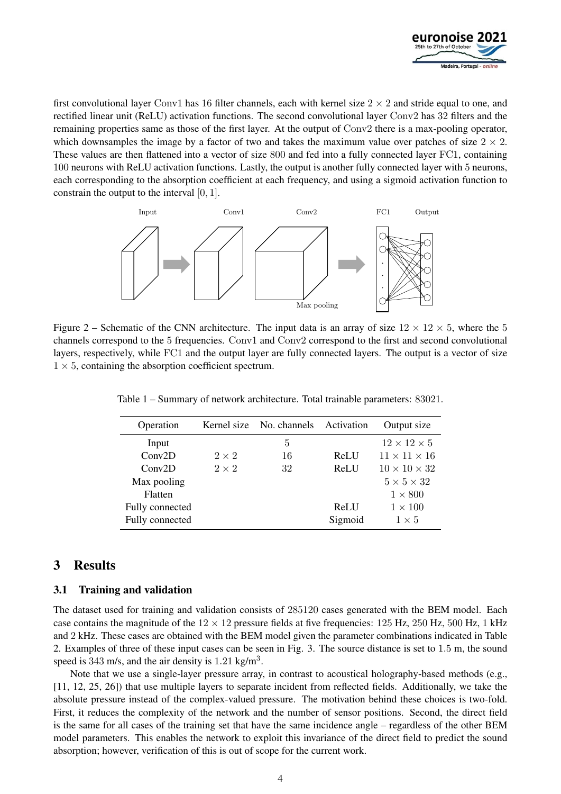

first convolutional layer Conv1 has 16 filter channels, each with kernel size  $2 \times 2$  and stride equal to one, and rectified linear unit (ReLU) activation functions. The second convolutional layer Conv2 has 32 filters and the remaining properties same as those of the first layer. At the output of Conv2 there is a max-pooling operator, which downsamples the image by a factor of two and takes the maximum value over patches of size  $2 \times 2$ . These values are then flattened into a vector of size 800 and fed into a fully connected layer FC1, containing 100 neurons with ReLU activation functions. Lastly, the output is another fully connected layer with 5 neurons, each corresponding to the absorption coefficient at each frequency, and using a sigmoid activation function to constrain the output to the interval [0, 1].



Figure 2 – Schematic of the CNN architecture. The input data is an array of size  $12 \times 12 \times 5$ , where the 5 channels correspond to the 5 frequencies. Conv1 and Conv2 correspond to the first and second convolutional layers, respectively, while FC1 and the output layer are fully connected layers. The output is a vector of size  $1 \times 5$ , containing the absorption coefficient spectrum.

| Operation       |              | Kernel size No. channels Activation |         | Output size              |
|-----------------|--------------|-------------------------------------|---------|--------------------------|
| Input           |              | 5                                   |         | $12 \times 12 \times 5$  |
| Conv2D          | $2 \times 2$ | 16                                  | ReLU    | $11 \times 11 \times 16$ |
| Conv2D          | $2 \times 2$ | 32                                  | ReLU    | $10 \times 10 \times 32$ |
| Max pooling     |              |                                     |         | $5 \times 5 \times 32$   |
| Flatten         |              |                                     |         | $1 \times 800$           |
| Fully connected |              |                                     | ReLU    | $1 \times 100$           |
| Fully connected |              |                                     | Sigmoid | $1 \times 5$             |

Table 1 – Summary of network architecture. Total trainable parameters: 83021.

# 3 Results

## 3.1 Training and validation

The dataset used for training and validation consists of 285120 cases generated with the BEM model. Each case contains the magnitude of the  $12 \times 12$  pressure fields at five frequencies:  $125$  Hz,  $250$  Hz,  $500$  Hz,  $1$  kHz and 2 kHz. These cases are obtained with the BEM model given the parameter combinations indicated in Table 2. Examples of three of these input cases can be seen in Fig. 3. The source distance is set to 1.5 m, the sound speed is 343 m/s, and the air density is  $1.21 \text{ kg/m}^3$ .

Note that we use a single-layer pressure array, in contrast to acoustical holography-based methods (e.g., [11, 12, 25, 26]) that use multiple layers to separate incident from reflected fields. Additionally, we take the absolute pressure instead of the complex-valued pressure. The motivation behind these choices is two-fold. First, it reduces the complexity of the network and the number of sensor positions. Second, the direct field is the same for all cases of the training set that have the same incidence angle – regardless of the other BEM model parameters. This enables the network to exploit this invariance of the direct field to predict the sound absorption; however, verification of this is out of scope for the current work.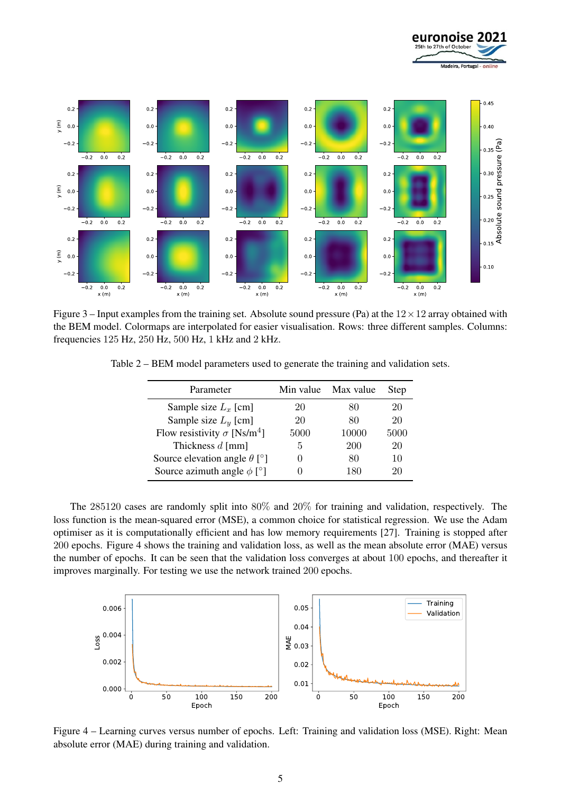

Figure 3 – Input examples from the training set. Absolute sound pressure (Pa) at the  $12 \times 12$  array obtained with the BEM model. Colormaps are interpolated for easier visualisation. Rows: three different samples. Columns: frequencies 125 Hz, 250 Hz, 500 Hz, 1 kHz and 2 kHz.

Table 2 – BEM model parameters used to generate the training and validation sets.

| Parameter                                      |              | Min value Max value | Step |
|------------------------------------------------|--------------|---------------------|------|
| Sample size $L_x$ [cm]                         | 20           | 80                  | 20   |
| Sample size $L_y$ [cm]                         | 20           | 80                  | 20   |
| Flow resistivity $\sigma$ [Ns/m <sup>4</sup> ] | 5000         | 10000               | 5000 |
| Thickness $d$ [mm]                             | 5            | 200                 | 20   |
| Source elevation angle $\theta$ [°]            | $\mathbf{0}$ | 80                  | 10   |
| Source azimuth angle $\phi$ [°]                |              | 180                 | 20   |

The 285120 cases are randomly split into 80% and 20% for training and validation, respectively. The loss function is the mean-squared error (MSE), a common choice for statistical regression. We use the Adam optimiser as it is computationally efficient and has low memory requirements [27]. Training is stopped after 200 epochs. Figure 4 shows the training and validation loss, as well as the mean absolute error (MAE) versus the number of epochs. It can be seen that the validation loss converges at about 100 epochs, and thereafter it improves marginally. For testing we use the network trained 200 epochs.



Figure 4 – Learning curves versus number of epochs. Left: Training and validation loss (MSE). Right: Mean absolute error (MAE) during training and validation.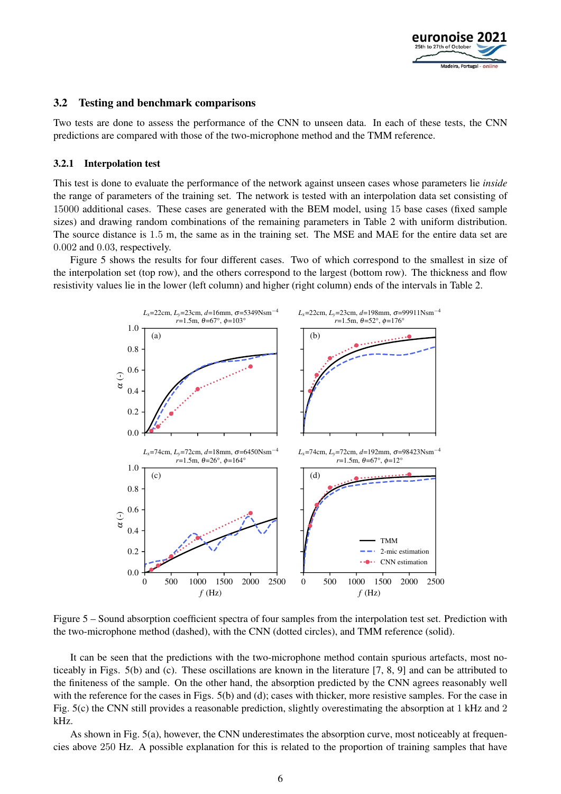

### 3.2 Testing and benchmark comparisons

Two tests are done to assess the performance of the CNN to unseen data. In each of these tests, the CNN predictions are compared with those of the two-microphone method and the TMM reference.

#### 3.2.1 Interpolation test

This test is done to evaluate the performance of the network against unseen cases whose parameters lie *inside* the range of parameters of the training set. The network is tested with an interpolation data set consisting of 15000 additional cases. These cases are generated with the BEM model, using 15 base cases (fixed sample sizes) and drawing random combinations of the remaining parameters in Table 2 with uniform distribution. The source distance is 1.5 m, the same as in the training set. The MSE and MAE for the entire data set are 0.002 and 0.03, respectively.

Figure 5 shows the results for four different cases. Two of which correspond to the smallest in size of the interpolation set (top row), and the others correspond to the largest (bottom row). The thickness and flow resistivity values lie in the lower (left column) and higher (right column) ends of the intervals in Table 2.



Figure 5 – Sound absorption coefficient spectra of four samples from the interpolation test set. Prediction with the two-microphone method (dashed), with the CNN (dotted circles), and TMM reference (solid).

It can be seen that the predictions with the two-microphone method contain spurious artefacts, most noticeably in Figs. 5(b) and (c). These oscillations are known in the literature [7, 8, 9] and can be attributed to the finiteness of the sample. On the other hand, the absorption predicted by the CNN agrees reasonably well with the reference for the cases in Figs. 5(b) and (d); cases with thicker, more resistive samples. For the case in Fig. 5(c) the CNN still provides a reasonable prediction, slightly overestimating the absorption at 1 kHz and 2 kHz.

As shown in Fig. 5(a), however, the CNN underestimates the absorption curve, most noticeably at frequencies above 250 Hz. A possible explanation for this is related to the proportion of training samples that have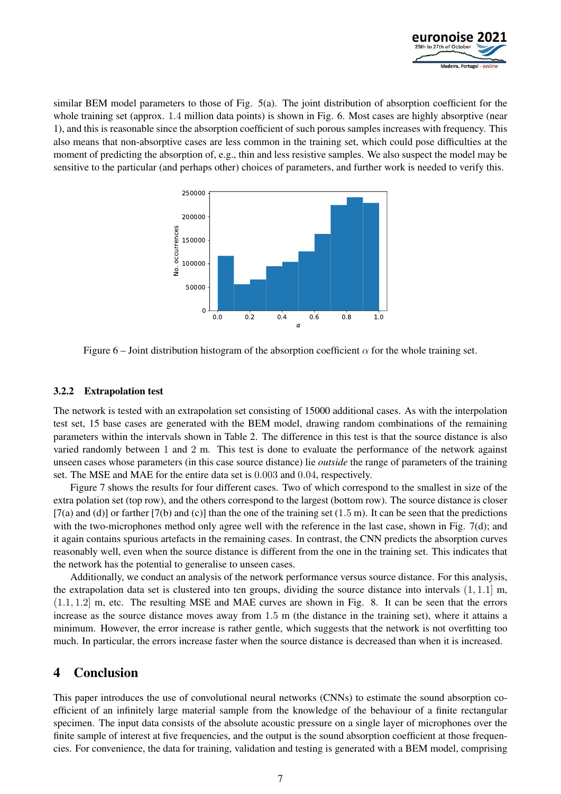

similar BEM model parameters to those of Fig. 5(a). The joint distribution of absorption coefficient for the whole training set (approx. 1.4 million data points) is shown in Fig. 6. Most cases are highly absorptive (near 1), and this is reasonable since the absorption coefficient of such porous samples increases with frequency. This also means that non-absorptive cases are less common in the training set, which could pose difficulties at the moment of predicting the absorption of, e.g., thin and less resistive samples. We also suspect the model may be sensitive to the particular (and perhaps other) choices of parameters, and further work is needed to verify this.



Figure 6 – Joint distribution histogram of the absorption coefficient  $\alpha$  for the whole training set.

#### 3.2.2 Extrapolation test

The network is tested with an extrapolation set consisting of 15000 additional cases. As with the interpolation test set, 15 base cases are generated with the BEM model, drawing random combinations of the remaining parameters within the intervals shown in Table 2. The difference in this test is that the source distance is also varied randomly between 1 and 2 m. This test is done to evaluate the performance of the network against unseen cases whose parameters (in this case source distance) lie *outside* the range of parameters of the training set. The MSE and MAE for the entire data set is 0.003 and 0.04, respectively.

Figure 7 shows the results for four different cases. Two of which correspond to the smallest in size of the extra polation set (top row), and the others correspond to the largest (bottom row). The source distance is closer  $[7(a)$  and (d)] or farther  $[7(b)$  and (c)] than the one of the training set  $(1.5 \text{ m})$ . It can be seen that the predictions with the two-microphones method only agree well with the reference in the last case, shown in Fig. 7(d); and it again contains spurious artefacts in the remaining cases. In contrast, the CNN predicts the absorption curves reasonably well, even when the source distance is different from the one in the training set. This indicates that the network has the potential to generalise to unseen cases.

Additionally, we conduct an analysis of the network performance versus source distance. For this analysis, the extrapolation data set is clustered into ten groups, dividing the source distance into intervals  $(1, 1.1]$  m, (1.1, 1.2] m, etc. The resulting MSE and MAE curves are shown in Fig. 8. It can be seen that the errors increase as the source distance moves away from 1.5 m (the distance in the training set), where it attains a minimum. However, the error increase is rather gentle, which suggests that the network is not overfitting too much. In particular, the errors increase faster when the source distance is decreased than when it is increased.

# 4 Conclusion

This paper introduces the use of convolutional neural networks (CNNs) to estimate the sound absorption coefficient of an infinitely large material sample from the knowledge of the behaviour of a finite rectangular specimen. The input data consists of the absolute acoustic pressure on a single layer of microphones over the finite sample of interest at five frequencies, and the output is the sound absorption coefficient at those frequencies. For convenience, the data for training, validation and testing is generated with a BEM model, comprising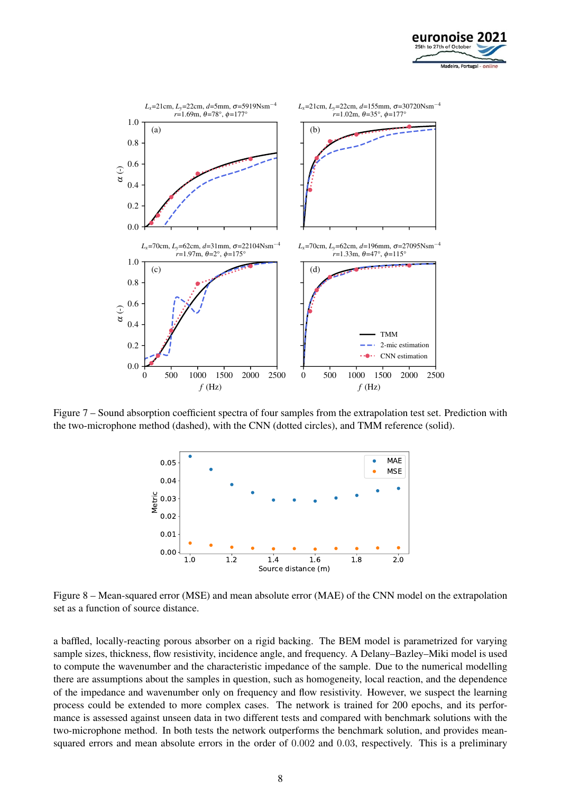



Figure 7 – Sound absorption coefficient spectra of four samples from the extrapolation test set. Prediction with the two-microphone method (dashed), with the CNN (dotted circles), and TMM reference (solid).



Figure 8 – Mean-squared error (MSE) and mean absolute error (MAE) of the CNN model on the extrapolation set as a function of source distance.

a baffled, locally-reacting porous absorber on a rigid backing. The BEM model is parametrized for varying sample sizes, thickness, flow resistivity, incidence angle, and frequency. A Delany–Bazley–Miki model is used to compute the wavenumber and the characteristic impedance of the sample. Due to the numerical modelling there are assumptions about the samples in question, such as homogeneity, local reaction, and the dependence of the impedance and wavenumber only on frequency and flow resistivity. However, we suspect the learning process could be extended to more complex cases. The network is trained for 200 epochs, and its performance is assessed against unseen data in two different tests and compared with benchmark solutions with the two-microphone method. In both tests the network outperforms the benchmark solution, and provides meansquared errors and mean absolute errors in the order of 0.002 and 0.03, respectively. This is a preliminary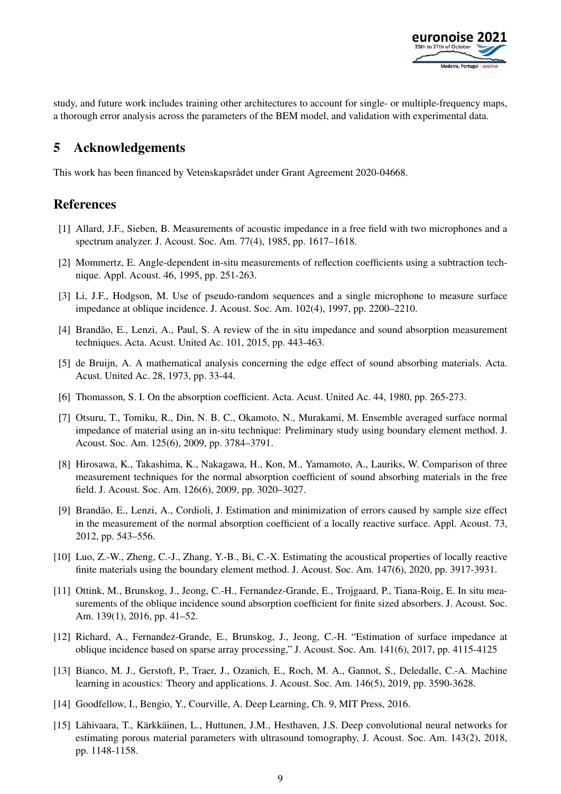

study, and future work includes training other architectures to account for single- or multiple-frequency maps, a thorough error analysis across the parameters of the BEM model, and validation with experimental data.

# 5 Acknowledgements

This work has been financed by Vetenskapsrådet under Grant Agreement 2020-04668.

# References

- [1] Allard, J.F., Sieben, B. Measurements of acoustic impedance in a free field with two microphones and a spectrum analyzer. J. Acoust. Soc. Am. 77(4), 1985, pp. 1617–1618.
- [2] Mommertz, E. Angle-dependent in-situ measurements of reflection coefficients using a subtraction technique. Appl. Acoust. 46, 1995, pp. 251-263.
- [3] Li, J.F., Hodgson, M. Use of pseudo-random sequences and a single microphone to measure surface impedance at oblique incidence. J. Acoust. Soc. Am. 102(4), 1997, pp. 2200–2210.
- [4] Brandão, E., Lenzi, A., Paul, S. A review of the in situ impedance and sound absorption measurement techniques. Acta. Acust. United Ac. 101, 2015, pp. 443-463.
- [5] de Bruijn, A. A mathematical analysis concerning the edge effect of sound absorbing materials. Acta. Acust. United Ac. 28, 1973, pp. 33-44.
- [6] Thomasson, S. I. On the absorption coefficient. Acta. Acust. United Ac. 44, 1980, pp. 265-273.
- [7] Otsuru, T., Tomiku, R., Din, N. B. C., Okamoto, N., Murakami, M. Ensemble averaged surface normal impedance of material using an in-situ technique: Preliminary study using boundary element method. J. Acoust. Soc. Am. 125(6), 2009, pp. 3784–3791.
- [8] Hirosawa, K., Takashima, K., Nakagawa, H., Kon, M., Yamamoto, A., Lauriks, W. Comparison of three measurement techniques for the normal absorption coefficient of sound absorbing materials in the free field. J. Acoust. Soc. Am. 126(6), 2009, pp. 3020–3027.
- [9] Brandão, E., Lenzi, A., Cordioli, J. Estimation and minimization of errors caused by sample size effect in the measurement of the normal absorption coefficient of a locally reactive surface. Appl. Acoust. 73, 2012, pp. 543–556.
- [10] Luo, Z.-W., Zheng, C.-J., Zhang, Y.-B., Bi, C.-X. Estimating the acoustical properties of locally reactive finite materials using the boundary element method. J. Acoust. Soc. Am. 147(6), 2020, pp. 3917-3931.
- [11] Ottink, M., Brunskog, J., Jeong, C.-H., Fernandez-Grande, E., Trojgaard, P., Tiana-Roig, E. In situ measurements of the oblique incidence sound absorption coefficient for finite sized absorbers. J. Acoust. Soc. Am. 139(1), 2016, pp. 41–52.
- [12] Richard, A., Fernandez-Grande, E., Brunskog, J., Jeong, C.-H. "Estimation of surface impedance at oblique incidence based on sparse array processing," J. Acoust. Soc. Am. 141(6), 2017, pp. 4115-4125
- [13] Bianco, M. J., Gerstoft, P., Traer, J., Ozanich, E., Roch, M. A., Gannot, S., Deledalle, C.-A. Machine learning in acoustics: Theory and applications. J. Acoust. Soc. Am. 146(5), 2019, pp. 3590-3628.
- [14] Goodfellow, I., Bengio, Y., Courville, A. Deep Learning, Ch. 9, MIT Press, 2016.
- [15] Lähivaara, T., Kärkkäinen, L., Huttunen, J.M., Hesthaven, J.S. Deep convolutional neural networks for estimating porous material parameters with ultrasound tomography, J. Acoust. Soc. Am. 143(2), 2018, pp. 1148-1158.